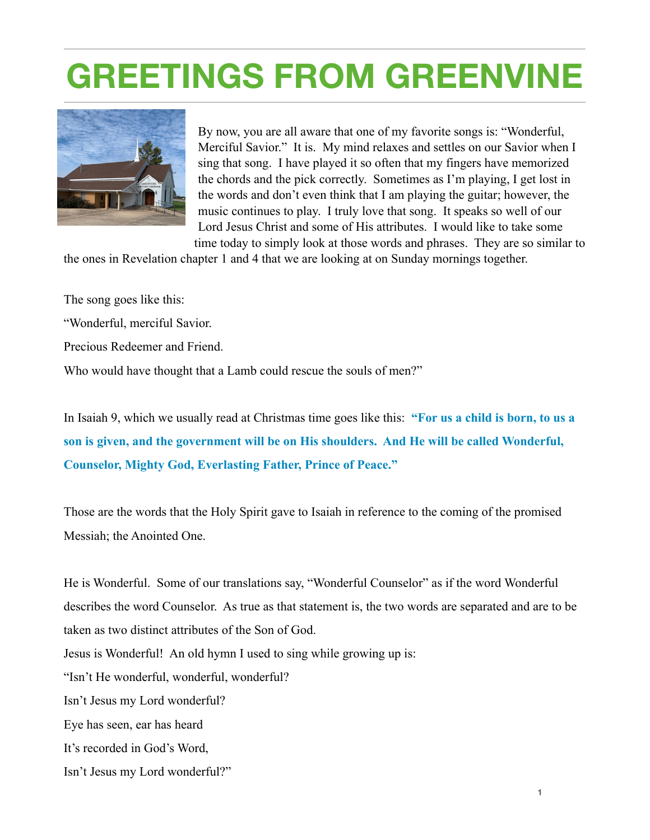## **GREETINGS FROM GREENVINE**



By now, you are all aware that one of my favorite songs is: "Wonderful, Merciful Savior." It is. My mind relaxes and settles on our Savior when I sing that song. I have played it so often that my fingers have memorized the chords and the pick correctly. Sometimes as I'm playing, I get lost in the words and don't even think that I am playing the guitar; however, the music continues to play. I truly love that song. It speaks so well of our Lord Jesus Christ and some of His attributes. I would like to take some time today to simply look at those words and phrases. They are so similar to

the ones in Revelation chapter 1 and 4 that we are looking at on Sunday mornings together.

The song goes like this:

"Wonderful, merciful Savior.

Precious Redeemer and Friend.

Who would have thought that a Lamb could rescue the souls of men?"

In Isaiah 9, which we usually read at Christmas time goes like this: **"For us a child is born, to us a son is given, and the government will be on His shoulders. And He will be called Wonderful, Counselor, Mighty God, Everlasting Father, Prince of Peace."** 

Those are the words that the Holy Spirit gave to Isaiah in reference to the coming of the promised Messiah; the Anointed One.

He is Wonderful. Some of our translations say, "Wonderful Counselor" as if the word Wonderful describes the word Counselor. As true as that statement is, the two words are separated and are to be taken as two distinct attributes of the Son of God. Jesus is Wonderful! An old hymn I used to sing while growing up is: "Isn't He wonderful, wonderful, wonderful? Isn't Jesus my Lord wonderful? Eye has seen, ear has heard It's recorded in God's Word,

Isn't Jesus my Lord wonderful?"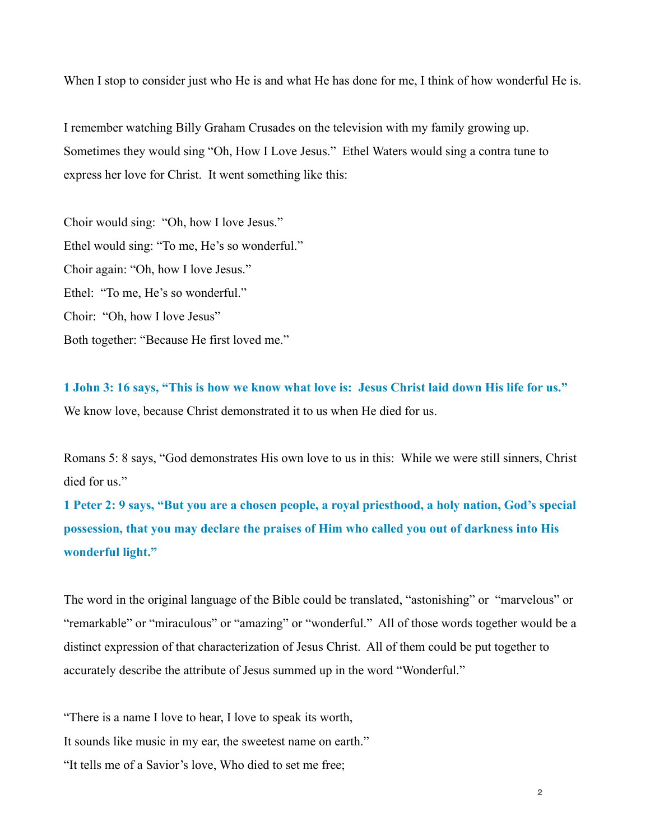When I stop to consider just who He is and what He has done for me, I think of how wonderful He is.

I remember watching Billy Graham Crusades on the television with my family growing up. Sometimes they would sing "Oh, How I Love Jesus." Ethel Waters would sing a contra tune to express her love for Christ. It went something like this:

Choir would sing: "Oh, how I love Jesus." Ethel would sing: "To me, He's so wonderful." Choir again: "Oh, how I love Jesus." Ethel: "To me, He's so wonderful." Choir: "Oh, how I love Jesus" Both together: "Because He first loved me."

**1 John 3: 16 says, "This is how we know what love is: Jesus Christ laid down His life for us."**  We know love, because Christ demonstrated it to us when He died for us.

Romans 5: 8 says, "God demonstrates His own love to us in this: While we were still sinners, Christ died for us"

**1 Peter 2: 9 says, "But you are a chosen people, a royal priesthood, a holy nation, God's special possession, that you may declare the praises of Him who called you out of darkness into His wonderful light."** 

The word in the original language of the Bible could be translated, "astonishing" or "marvelous" or "remarkable" or "miraculous" or "amazing" or "wonderful." All of those words together would be a distinct expression of that characterization of Jesus Christ. All of them could be put together to accurately describe the attribute of Jesus summed up in the word "Wonderful."

"There is a name I love to hear, I love to speak its worth,

It sounds like music in my ear, the sweetest name on earth."

"It tells me of a Savior's love, Who died to set me free;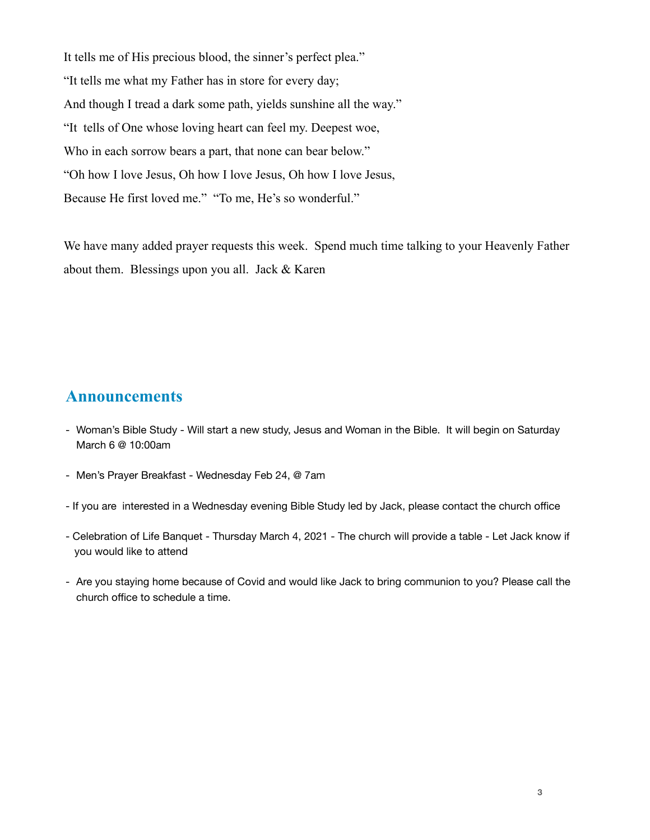It tells me of His precious blood, the sinner's perfect plea." "It tells me what my Father has in store for every day; And though I tread a dark some path, yields sunshine all the way." "It tells of One whose loving heart can feel my. Deepest woe, Who in each sorrow bears a part, that none can bear below." "Oh how I love Jesus, Oh how I love Jesus, Oh how I love Jesus, Because He first loved me." "To me, He's so wonderful."

We have many added prayer requests this week. Spend much time talking to your Heavenly Father about them. Blessings upon you all. Jack & Karen

## **Announcements**

- Woman's Bible Study Will start a new study, Jesus and Woman in the Bible. It will begin on Saturday March 6 @ 10:00am
- Men's Prayer Breakfast Wednesday Feb 24, @ 7am
- If you are interested in a Wednesday evening Bible Study led by Jack, please contact the church office
- Celebration of Life Banquet Thursday March 4, 2021 The church will provide a table Let Jack know if you would like to attend
- Are you staying home because of Covid and would like Jack to bring communion to you? Please call the church office to schedule a time.